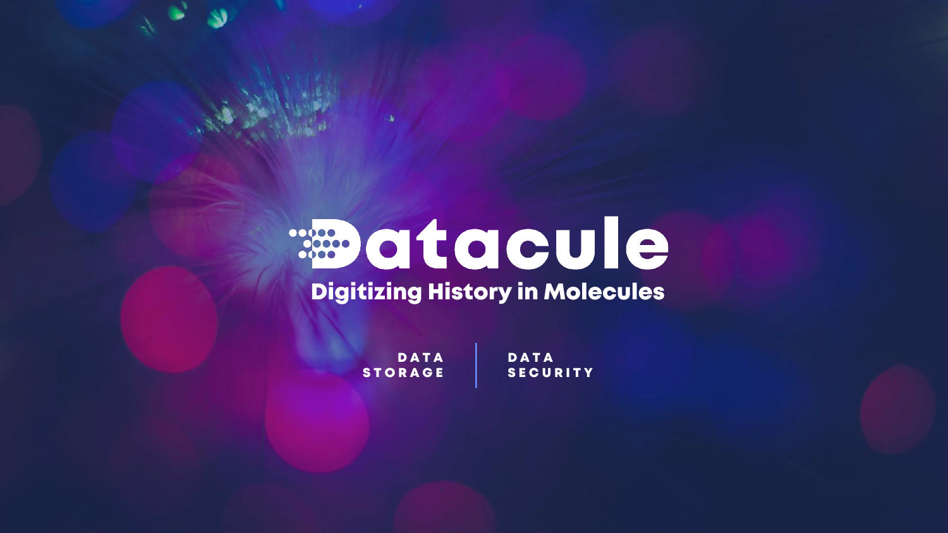# **Redictacule**

# Digitizing History in Molecules

DATA STORAGE DATA **SECURITY**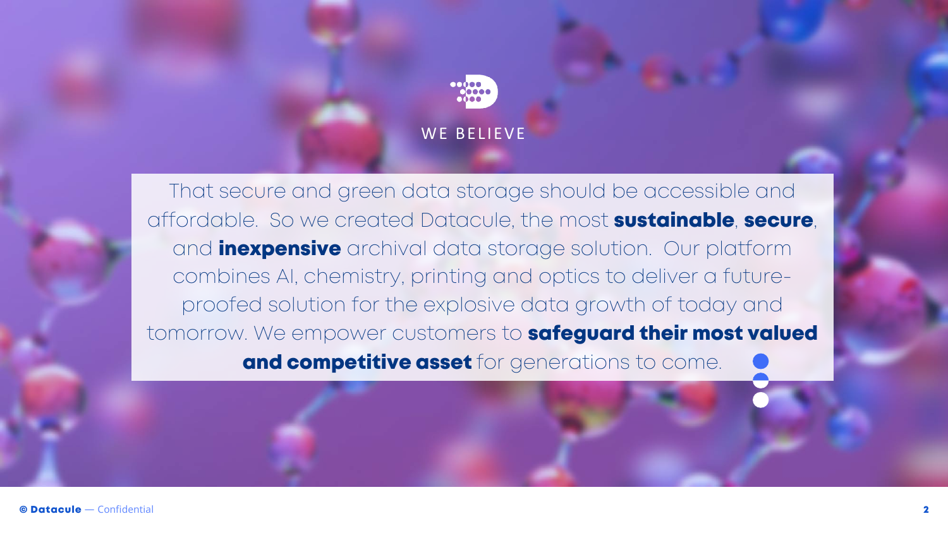# WE BELIEVE

That secure and green data storage should be accessible and affordable. So we created Datacule, the most sustainable, secure, and **inexpensive** archival data storage solution. Our platform combines AI, chemistry, printing and optics to deliver a futureproofed solution for the explosive data growth of today and tomorrow. We empower customers to safeguard their most valued and competitive asset for generations to come.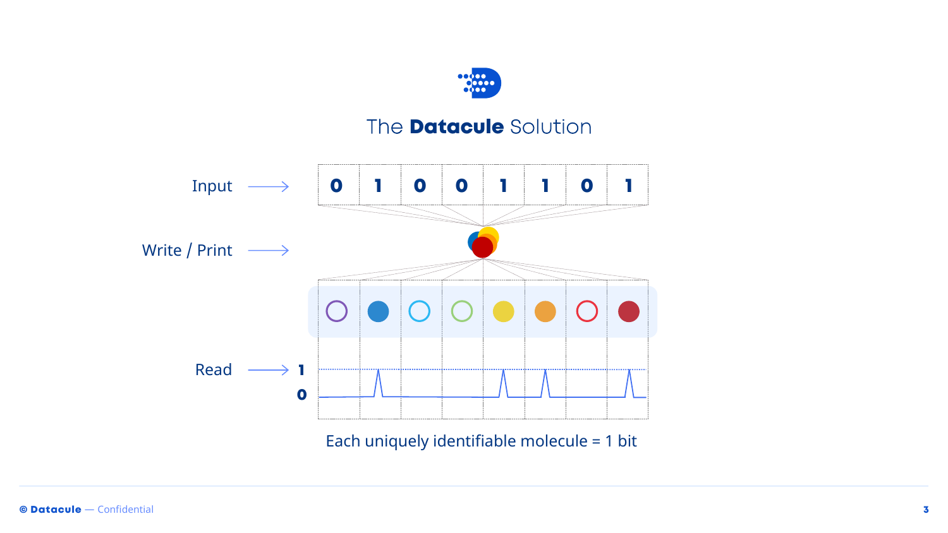

### The **Datacule** Solution



Each uniquely identifiable molecule = 1 bit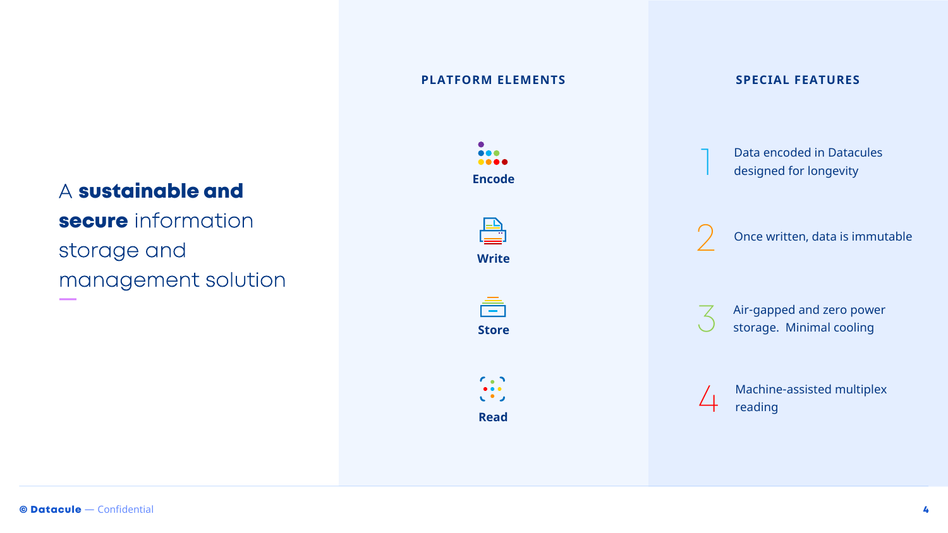#### A sustainable and

secure information storage and management solution

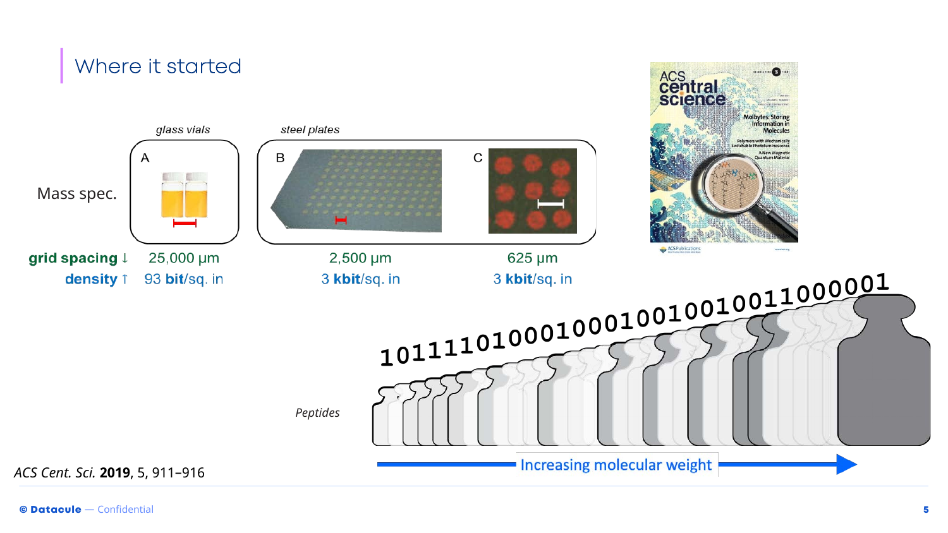# Where it started

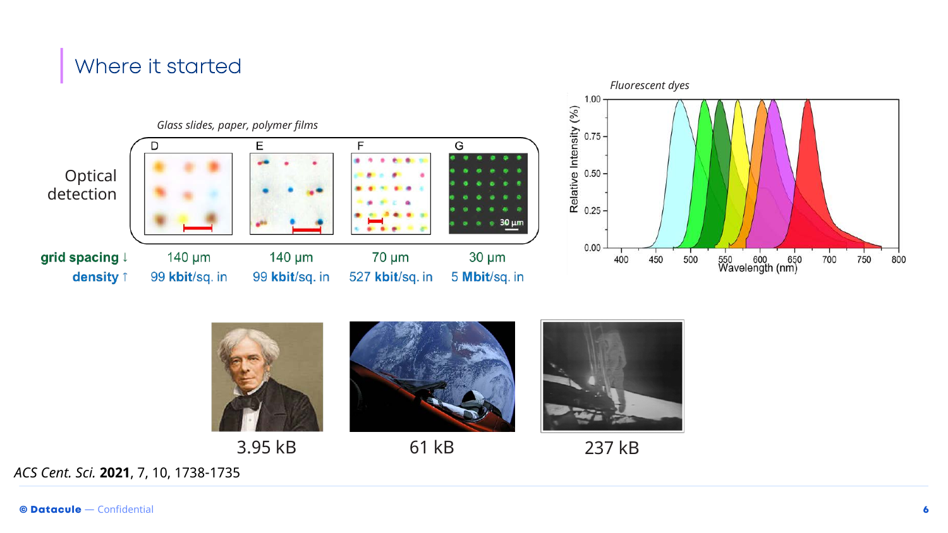# Where it started





3.95 kB 61 kB 237 kB

*ACS Cent. Sci.* **2021**, 7, 10, 1738-1735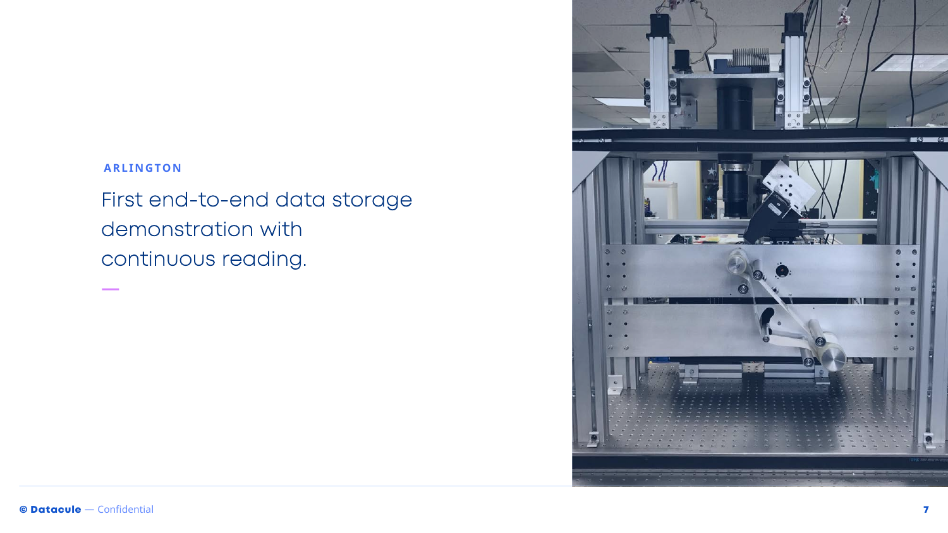#### **ARLINGTON**

First end-to-end data storage demonstration with continuous reading.